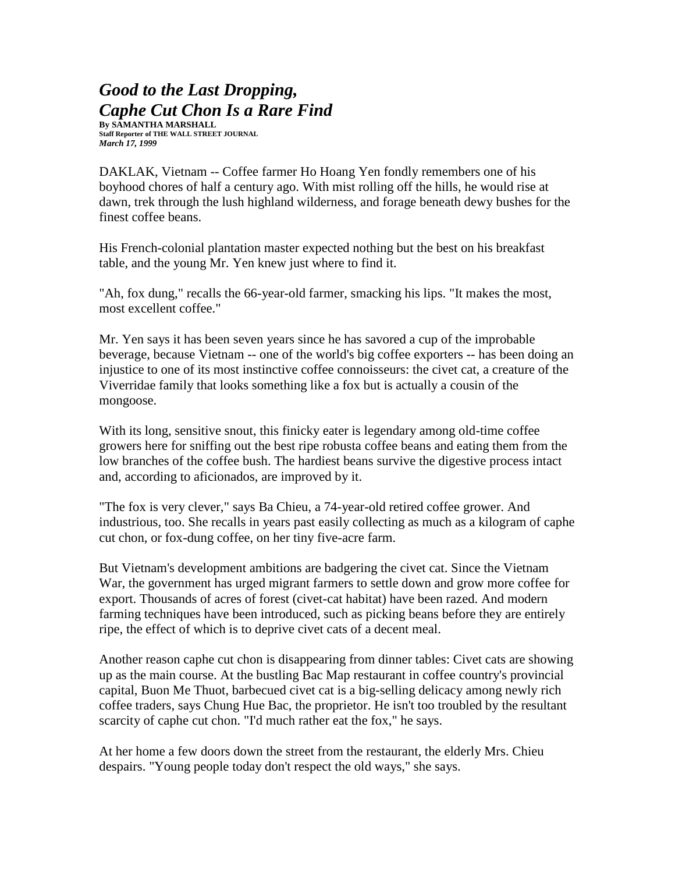## *Good to the Last Dropping, Caphe Cut Chon Is a Rare Find* **By SAMANTHA MARSHALL**

**Staff Reporter of THE WALL STREET JOURNAL** *March 17, 1999*

DAKLAK, Vietnam -- Coffee farmer Ho Hoang Yen fondly remembers one of his boyhood chores of half a century ago. With mist rolling off the hills, he would rise at dawn, trek through the lush highland wilderness, and forage beneath dewy bushes for the finest coffee beans.

His French-colonial plantation master expected nothing but the best on his breakfast table, and the young Mr. Yen knew just where to find it.

"Ah, fox dung," recalls the 66-year-old farmer, smacking his lips. "It makes the most, most excellent coffee."

Mr. Yen says it has been seven years since he has savored a cup of the improbable beverage, because Vietnam -- one of the world's big coffee exporters -- has been doing an injustice to one of its most instinctive coffee connoisseurs: the civet cat, a creature of the Viverridae family that looks something like a fox but is actually a cousin of the mongoose.

With its long, sensitive snout, this finicky eater is legendary among old-time coffee growers here for sniffing out the best ripe robusta coffee beans and eating them from the low branches of the coffee bush. The hardiest beans survive the digestive process intact and, according to aficionados, are improved by it.

"The fox is very clever," says Ba Chieu, a 74-year-old retired coffee grower. And industrious, too. She recalls in years past easily collecting as much as a kilogram of caphe cut chon, or fox-dung coffee, on her tiny five-acre farm.

But Vietnam's development ambitions are badgering the civet cat. Since the Vietnam War, the government has urged migrant farmers to settle down and grow more coffee for export. Thousands of acres of forest (civet-cat habitat) have been razed. And modern farming techniques have been introduced, such as picking beans before they are entirely ripe, the effect of which is to deprive civet cats of a decent meal.

Another reason caphe cut chon is disappearing from dinner tables: Civet cats are showing up as the main course. At the bustling Bac Map restaurant in coffee country's provincial capital, Buon Me Thuot, barbecued civet cat is a big-selling delicacy among newly rich coffee traders, says Chung Hue Bac, the proprietor. He isn't too troubled by the resultant scarcity of caphe cut chon. "I'd much rather eat the fox," he says.

At her home a few doors down the street from the restaurant, the elderly Mrs. Chieu despairs. "Young people today don't respect the old ways," she says.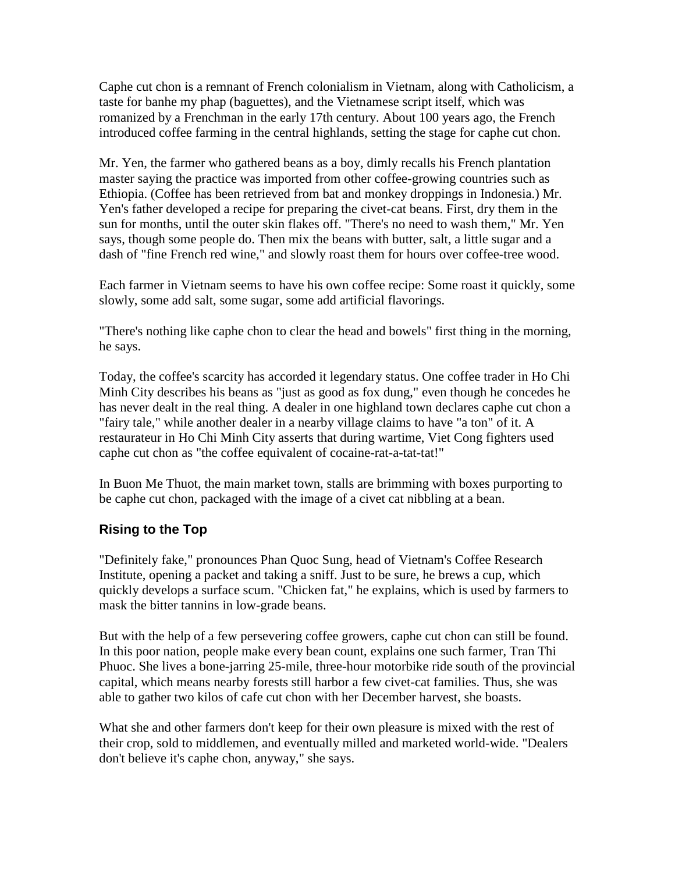Caphe cut chon is a remnant of French colonialism in Vietnam, along with Catholicism, a taste for banhe my phap (baguettes), and the Vietnamese script itself, which was romanized by a Frenchman in the early 17th century. About 100 years ago, the French introduced coffee farming in the central highlands, setting the stage for caphe cut chon.

Mr. Yen, the farmer who gathered beans as a boy, dimly recalls his French plantation master saying the practice was imported from other coffee-growing countries such as Ethiopia. (Coffee has been retrieved from bat and monkey droppings in Indonesia.) Mr. Yen's father developed a recipe for preparing the civet-cat beans. First, dry them in the sun for months, until the outer skin flakes off. "There's no need to wash them," Mr. Yen says, though some people do. Then mix the beans with butter, salt, a little sugar and a dash of "fine French red wine," and slowly roast them for hours over coffee-tree wood.

Each farmer in Vietnam seems to have his own coffee recipe: Some roast it quickly, some slowly, some add salt, some sugar, some add artificial flavorings.

"There's nothing like caphe chon to clear the head and bowels" first thing in the morning, he says.

Today, the coffee's scarcity has accorded it legendary status. One coffee trader in Ho Chi Minh City describes his beans as "just as good as fox dung," even though he concedes he has never dealt in the real thing. A dealer in one highland town declares caphe cut chon a "fairy tale," while another dealer in a nearby village claims to have "a ton" of it. A restaurateur in Ho Chi Minh City asserts that during wartime, Viet Cong fighters used caphe cut chon as "the coffee equivalent of cocaine-rat-a-tat-tat!"

In Buon Me Thuot, the main market town, stalls are brimming with boxes purporting to be caphe cut chon, packaged with the image of a civet cat nibbling at a bean.

## **Rising to the Top**

"Definitely fake," pronounces Phan Quoc Sung, head of Vietnam's Coffee Research Institute, opening a packet and taking a sniff. Just to be sure, he brews a cup, which quickly develops a surface scum. "Chicken fat," he explains, which is used by farmers to mask the bitter tannins in low-grade beans.

But with the help of a few persevering coffee growers, caphe cut chon can still be found. In this poor nation, people make every bean count, explains one such farmer, Tran Thi Phuoc. She lives a bone-jarring 25-mile, three-hour motorbike ride south of the provincial capital, which means nearby forests still harbor a few civet-cat families. Thus, she was able to gather two kilos of cafe cut chon with her December harvest, she boasts.

What she and other farmers don't keep for their own pleasure is mixed with the rest of their crop, sold to middlemen, and eventually milled and marketed world-wide. "Dealers don't believe it's caphe chon, anyway," she says.